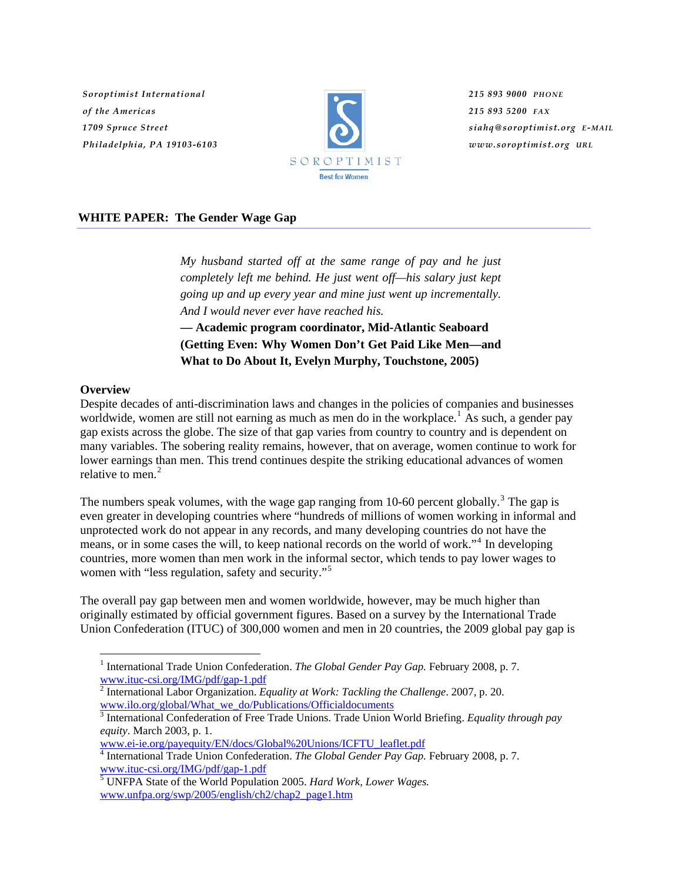*Soroptimist International of the Americas 1709 Spruce Street Philadelphia, PA 19103-6103*



*215 893 9000 PHONE 215 893 5200 FAX siahq@soroptimist.org E-MAIL www.soroptimist.org URL*

## **WHITE PAPER: The Gender Wage Gap**

*My husband started off at the same range of pay and he just completely left me behind. He just went off—his salary just kept going up and up every year and mine just went up incrementally. And I would never ever have reached his.* 

**— Academic program coordinator, Mid-Atlantic Seaboard (Getting Even: Why Women Don't Get Paid Like Men—and What to Do About It, Evelyn Murphy, Touchstone, 2005)** 

# **Overview**

 $\overline{a}$ 

Despite decades of anti-discrimination laws and changes in the policies of companies and businesses worldwide, women are still not earning as much as men do in the workplace.<sup>[1](#page-0-0)</sup> As such, a gender pay gap exists across the globe. The size of that gap varies from country to country and is dependent on many variables. The sobering reality remains, however, that on average, women continue to work for lower earnings than men. This trend continues despite the striking educational advances of women relative to men. $<sup>2</sup>$  $<sup>2</sup>$  $<sup>2</sup>$ </sup>

The numbers speak volumes, with the wage gap ranging from 10-60 percent globally.<sup>[3](#page-0-2)</sup> The gap is even greater in developing countries where "hundreds of millions of women working in informal and unprotected work do not appear in any records, and many developing countries do not have the means, or in some cases the will, to keep national records on the world of work."[4](#page-0-3) In developing countries, more women than men work in the informal sector, which tends to pay lower wages to women with "less regulation, safety and security."<sup>[5](#page-0-4)</sup>

The overall pay gap between men and women worldwide, however, may be much higher than originally estimated by official government figures. Based on a survey by the International Trade Union Confederation (ITUC) of 300,000 women and men in 20 countries, the 2009 global pay gap is

[www.ei-ie.org/payequity/EN/docs/Global%20Unions/ICFTU\\_leaflet.pdf](http://www.ei-ie.org/payequity/EN/docs/Global%20Unions/ICFTU_leaflet.pdf)

<span id="page-0-0"></span><sup>&</sup>lt;sup>1</sup> International Trade Union Confederation. *The Global Gender Pay Gap*. February 2008, p. 7. [www.ituc-csi.org/IMG/pdf/gap-1.pdf](http://www.ituc-csi.org/IMG/pdf/gap-1.pdf)

<span id="page-0-1"></span><sup>2</sup> International Labor Organization. *Equality at Work: Tackling the Challenge*. 2007, p. 20. [www.ilo.org/global/What\\_we\\_do/Publications/Officialdocuments 3](http://www.ilo.org/global/What_we_do/Publications/Officialdocuments)

<span id="page-0-2"></span><sup>&</sup>lt;sup>3</sup> International Confederation of Free Trade Unions. Trade Union World Briefing. *Equality through pay equity*. March 2003, p. 1.

<span id="page-0-3"></span><sup>4</sup> International Trade Union Confederation. *The Global Gender Pay Gap.* February 2008, p. 7. [www.ituc-csi.org/IMG/pdf/gap-1.pdf](http://www.ituc-csi.org/IMG/pdf/gap-1.pdf)

<span id="page-0-4"></span><sup>5</sup> UNFPA State of the World Population 2005. *Hard Work, Lower Wages.* [www.unfpa.org/swp/2005/english/ch2/chap2\\_page1.htm](http://www.unfpa.org/swp/2005/english/ch2/chap2_page1.htm)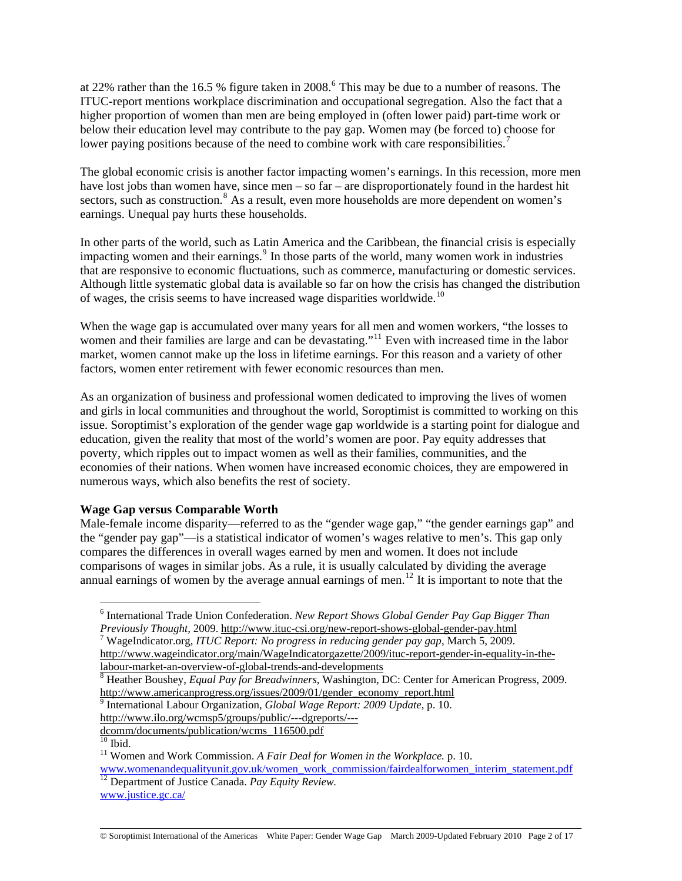at 22% rather than the 1[6](#page-1-0).5 % figure taken in 2008.<sup>6</sup> This may be due to a number of reasons. The ITUC-report mentions workplace discrimination and occupational segregation. Also the fact that a higher proportion of women than men are being employed in (often lower paid) part-time work or below their education level may contribute to the pay gap. Women may (be forced to) choose for lower paying positions because of the need to combine work with care responsibilities.<sup>[7](#page-1-1)</sup>

The global economic crisis is another factor impacting women's earnings. In this recession, more men have lost jobs than women have, since men – so far – are disproportionately found in the hardest hit sectors, such as construction.<sup>[8](#page-1-2)</sup> As a result, even more households are more dependent on women's earnings. Unequal pay hurts these households.

In other parts of the world, such as Latin America and the Caribbean, the financial crisis is especially impacting women and their earnings.<sup>[9](#page-1-3)</sup> In those parts of the world, many women work in industries that are responsive to economic fluctuations, such as commerce, manufacturing or domestic services. Although little systematic global data is available so far on how the crisis has changed the distribution of wages, the crisis seems to have increased wage disparities worldwide.<sup>[10](#page-1-4)</sup>

When the wage gap is accumulated over many years for all men and women workers, "the losses to women and their families are large and can be devastating."<sup>[11](#page-1-5)</sup> Even with increased time in the labor market, women cannot make up the loss in lifetime earnings. For this reason and a variety of other factors, women enter retirement with fewer economic resources than men.

As an organization of business and professional women dedicated to improving the lives of women and girls in local communities and throughout the world, Soroptimist is committed to working on this issue. Soroptimist's exploration of the gender wage gap worldwide is a starting point for dialogue and education, given the reality that most of the world's women are poor. Pay equity addresses that poverty, which ripples out to impact women as well as their families, communities, and the economies of their nations. When women have increased economic choices, they are empowered in numerous ways, which also benefits the rest of society.

## **Wage Gap versus Comparable Worth**

Male-female income disparity—referred to as the "gender wage gap," "the gender earnings gap" and the "gender pay gap"—is a statistical indicator of women's wages relative to men's. This gap only compares the differences in overall wages earned by men and women. It does not include comparisons of wages in similar jobs. As a rule, it is usually calculated by dividing the average annual earnings of women by the average annual earnings of men.<sup>[12](#page-1-6)</sup> It is important to note that the

*Previously Thought,* 2009. <http://www.ituc-csi.org/new-report-shows-global-gender-pay.html> <sup>7</sup> WageIndicator.org, *ITUC Report: No progress in reducing gender pay gap*, March 5, 2009.

9 International Labour Organization, *Global Wage Report: 2009 Update*, p. 10.

<span id="page-1-3"></span>[http://www.ilo.org/wcmsp5/groups/public/---dgreports/---](http://www.ilo.org/wcmsp5/groups/public/---dgreports/---dcomm/documents/publication/wcms_116500.pdf)

 $\frac{10}{10}$  Ibid.

<span id="page-1-0"></span> $\overline{a}$ <sup>6</sup> International Trade Union Confederation. *New Report Shows Global Gender Pay Gap Bigger Than* 

<span id="page-1-1"></span>[http://www.wageindicator.org/main/WageIndicatorgazette/2009/ituc-report-gender-in-equality-in-the](http://www.wageindicator.org/main/WageIndicatorgazette/2009/ituc-report-gender-in-equality-in-the-labour-market-an-overview-of-global-trends-and-developments)[labour-market-an-overview-of-global-trends-and-developments](http://www.wageindicator.org/main/WageIndicatorgazette/2009/ituc-report-gender-in-equality-in-the-labour-market-an-overview-of-global-trends-and-developments) <sup>8</sup>

<span id="page-1-2"></span>Heather Boushey, *Equal Pay for Breadwinners*, Washington, DC: Center for American Progress, 2009. [http://www.americanprogress.org/issues/2009/01/gender\\_economy\\_report.html](http://www.americanprogress.org/issues/2009/01/gender_economy_report.html)

[dcomm/documents/publication/wcms\\_116500.pdf](http://www.ilo.org/wcmsp5/groups/public/---dgreports/---dcomm/documents/publication/wcms_116500.pdf)

<span id="page-1-5"></span><span id="page-1-4"></span><sup>11</sup> Women and Work Commission. *A Fair Deal for Women in the Workplace.* p. 10.

<span id="page-1-6"></span>[www.womenandequalityunit.gov.uk/women\\_work\\_commission/fairdealforwomen\\_interim\\_statement.pdf](http://www.womenandequalityunit.gov.uk/women_work_commission/fairdealforwomen_interim_statement.pdf) 12 Department of Justice Canada. *Pay Equity Review.*

[www.justice.gc.ca/](http://www.justice.gc.ca/)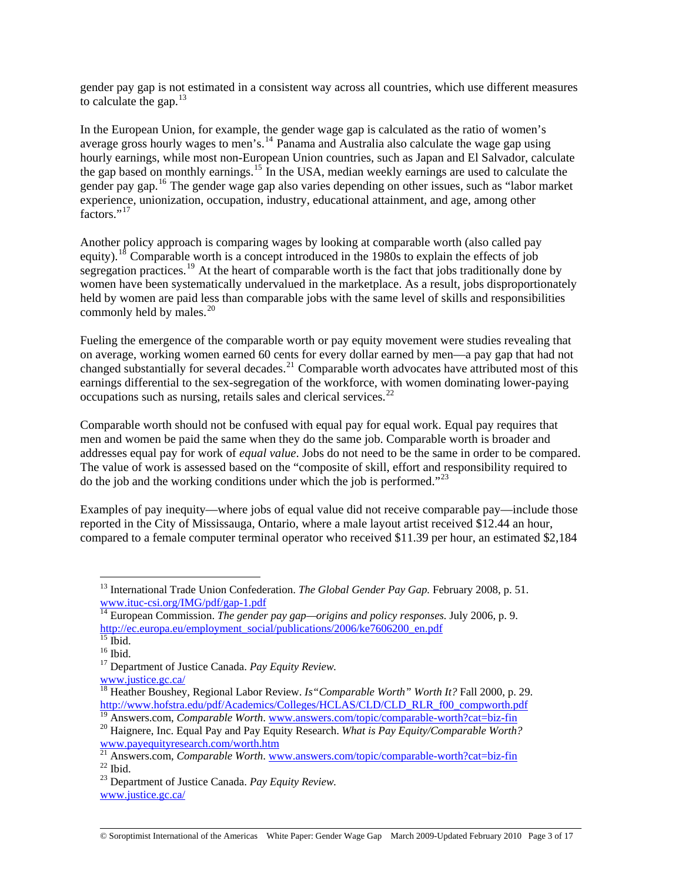gender pay gap is not estimated in a consistent way across all countries, which use different measures to calculate the gap.  $13$ 

In the European Union, for example, the gender wage gap is calculated as the ratio of women's average gross hourly wages to men's.<sup>[14](#page-2-1)</sup> Panama and Australia also calculate the wage gap using hourly earnings, while most non-European Union countries, such as Japan and El Salvador, calculate the gap based on monthly earnings.[15](#page-2-2) In the USA, median weekly earnings are used to calculate the gender pay gap.[16](#page-2-3) The gender wage gap also varies depending on other issues, such as "labor market experience, unionization, occupation, industry, educational attainment, and age, among other factors."<sup>[17](#page-2-4)</sup>

Another policy approach is comparing wages by looking at comparable worth (also called pay equity).<sup>[18](#page-2-5)</sup> Comparable worth is a concept introduced in the 1980s to explain the effects of job segregation practices.<sup>[19](#page-2-6)</sup> At the heart of comparable worth is the fact that jobs traditionally done by women have been systematically undervalued in the marketplace. As a result, jobs disproportionately held by women are paid less than comparable jobs with the same level of skills and responsibilities commonly held by males. $20$ 

Fueling the emergence of the comparable worth or pay equity movement were studies revealing that on average, working women earned 60 cents for every dollar earned by men—a pay gap that had not changed substantially for several decades.[21](#page-2-8) Comparable worth advocates have attributed most of this earnings differential to the sex-segregation of the workforce, with women dominating lower-paying occupations such as nursing, retails sales and clerical services.<sup>[22](#page-2-9)</sup>

Comparable worth should not be confused with equal pay for equal work. Equal pay requires that men and women be paid the same when they do the same job. Comparable worth is broader and addresses equal pay for work of *equal value*. Jobs do not need to be the same in order to be compared. The value of work is assessed based on the "composite of skill, effort and responsibility required to do the job and the working conditions under which the job is performed."<sup>[23](#page-2-10)</sup>

Examples of pay inequity—where jobs of equal value did not receive comparable pay—include those reported in the City of Mississauga, Ontario, where a male layout artist received \$12.44 an hour, compared to a female computer terminal operator who received \$11.39 per hour, an estimated \$2,184

 $\overline{a}$ 

[www.justice.gc.ca/](http://www.justice.gc.ca/)

<span id="page-2-0"></span><sup>&</sup>lt;sup>13</sup> International Trade Union Confederation. *The Global Gender Pay Gap*. February 2008, p. 51. [www.ituc-csi.org/IMG/pdf/gap-1.pdf](http://www.ituc-csi.org/IMG/pdf/gap-1.pdf)

<span id="page-2-1"></span><sup>&</sup>lt;sup>14</sup> European Commission. *The gender pay gap—origins and policy responses*. July 2006, p. 9. [http://ec.europa.eu/employment\\_social/publications/2006/ke7606200\\_en.pdf](http://ec.europa.eu/employment_social/publications/2006/ke7606200_en.pdf)

 $15$  Ibid.

<span id="page-2-3"></span><span id="page-2-2"></span> $^{16}$  Ibid.

<span id="page-2-4"></span><sup>17</sup> Department of Justice Canada. *Pay Equity Review.*

<span id="page-2-5"></span><sup>&</sup>lt;sup>18</sup> Heather Boushey, Regional Labor Review. *Is "Comparable Worth" Worth It?* Fall 2000, p. 29. [http://www.hofstra.edu/pdf/Academics/Colleges/HCLAS/CLD/CLD\\_RLR\\_f00\\_compworth.pdf](http://www.hofstra.edu/pdf/Academics/Colleges/HCLAS/CLD/CLD_RLR_f00_compworth.pdf)

<span id="page-2-7"></span><span id="page-2-6"></span><sup>&</sup>lt;sup>19</sup> Answers.com, *Comparable Worth*. [www.answers.com/topic/comparable-worth?cat=biz-fin](http://www.answers.com/topic/comparable-worth?cat=biz-fin)<sup>20</sup> Haignere, Inc. Equal Pay and Pay Equity Research. *What is Pay Equity/Comparable Worth?* 

[www.payequityresearch.com/worth.htm](http://www.payequityresearch.com/worth.htm)

<span id="page-2-9"></span><span id="page-2-8"></span><sup>&</sup>lt;sup>21</sup> Answers.com, *Comparable Worth*. [www.answers.com/topic/comparable-worth?cat=biz-fin](http://www.answers.com/topic/comparable-worth?cat=biz-fin)<sup>22</sup> Ibid. 23 Department of Justice Canada. *Pay Equity Review.*

<span id="page-2-10"></span>[www.justice.gc.ca/](http://www.justice.gc.ca/)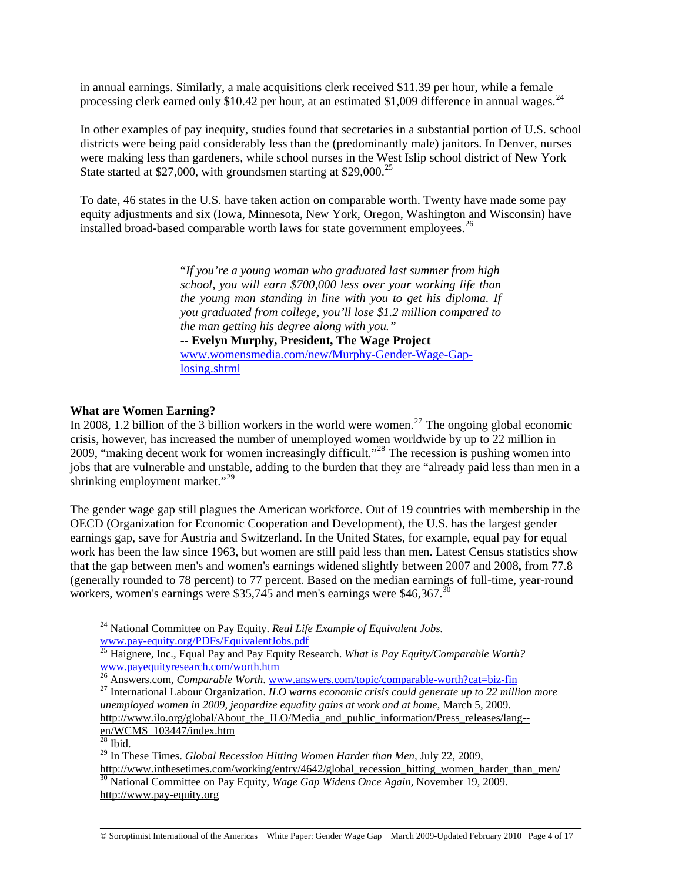in annual earnings. Similarly, a male acquisitions clerk received \$11.39 per hour, while a female processing clerk earned only \$10.42 per hour, at an estimated \$1,009 difference in annual wages.<sup>[24](#page-3-0)</sup>

In other examples of pay inequity, studies found that secretaries in a substantial portion of U.S. school districts were being paid considerably less than the (predominantly male) janitors. In Denver, nurses were making less than gardeners, while school nurses in the West Islip school district of New York State started at \$27,000, with groundsmen starting at \$29,000.<sup>[25](#page-3-1)</sup>

To date, 46 states in the U.S. have taken action on comparable worth. Twenty have made some pay equity adjustments and six (Iowa, Minnesota, New York, Oregon, Washington and Wisconsin) have installed broad-based comparable worth laws for state government employees.<sup>[26](#page-3-2)</sup>

> "*If you're a young woman who graduated last summer from high school, you will earn \$700,000 less over your working life than the young man standing in line with you to get his diploma. If you graduated from college, you'll lose \$1.2 million compared to the man getting his degree along with you."*  **-- Evelyn Murphy, President, The Wage Project**  [www.womensmedia.com/new/Murphy-Gender-Wage-Gap](http://www.womensmedia.com/new/Murphy-Gender-Wage-Gap-losing.shtml)[losing.shtml](http://www.womensmedia.com/new/Murphy-Gender-Wage-Gap-losing.shtml)

### **What are Women Earning?**

In 2008, 1.2 billion of the 3 billion workers in the world were women.<sup>[27](#page-3-3)</sup> The ongoing global economic crisis, however, has increased the number of unemployed women worldwide by up to 22 million in 2009, "making decent work for women increasingly difficult."[28](#page-3-4) The recession is pushing women into jobs that are vulnerable and unstable, adding to the burden that they are "already paid less than men in a shrinking employment market."<sup>[29](#page-3-5)</sup>

The gender wage gap still plagues the American workforce. Out of 19 countries with membership in the OECD (Organization for Economic Cooperation and Development), the U.S. has the largest gender earnings gap, save for Austria and Switzerland. In the United States, for example, equal pay for equal work has been the law since 1963, but women are still paid less than men. Latest Census statistics show tha**t** the gap between men's and women's earnings widened slightly between 2007 and 2008**,** from 77.8 (generally rounded to 78 percent) to 77 percent. Based on the median earnings of full-time, year-round workers, women's earnings were \$35,745 and men's earnings were \$46,367.<sup>3</sup>

<span id="page-3-0"></span><sup>24</sup> National Committee on Pay Equity. *Real Life Example of Equivalent Jobs.*  [www.pay-equity.org/PDFs/EquivalentJobs.pdf](http://www.pay-equity.org/PDFs/EquivalentJobs.pdf)

<span id="page-3-1"></span><sup>25</sup> Haignere, Inc., Equal Pay and Pay Equity Research. *What is Pay Equity/Comparable Worth?*  [www.payequityresearch.com/worth.htm](http://www.payequityresearch.com/worth.htm)<br>
<sup>26</sup> Answers.com, *Comparable Worth*. www.answers.com/topic/comparable-worth?cat=biz-fin

<span id="page-3-3"></span><span id="page-3-2"></span><sup>&</sup>lt;sup>27</sup> International Labour Organization. *ILO warns economic crisis could generate up to 22 million more unemployed women in 2009, jeopardize equality gains at work and at home*, March 5, 2009. [http://www.ilo.org/global/About\\_the\\_ILO/Media\\_and\\_public\\_information/Press\\_releases/lang-](http://www.ilo.org/global/About_the_ILO/Media_and_public_information/Press_releases/lang--en/WCMS_103447/index.htm) [en/WCMS\\_103447/index.htm](http://www.ilo.org/global/About_the_ILO/Media_and_public_information/Press_releases/lang--en/WCMS_103447/index.htm)

<span id="page-3-4"></span> $\overline{^{28}}$  Ibid.

<span id="page-3-5"></span><sup>29</sup> In These Times. *Global Recession Hitting Women Harder than Men,* July 22, 2009, [http://www.inthesetimes.com/working/entry/4642/global\\_recession\\_hitting\\_women\\_harder\\_than\\_men/](http://www.inthesetimes.com/working/entry/4642/global_recession_hitting_women_harder_than_men/) 30 National Committee on Pay Equity, *Wage Gap Widens Once Again,* November 19, 2009.

<span id="page-3-6"></span>[http://www.pay-equity.org](http://www.pay-equity.org/)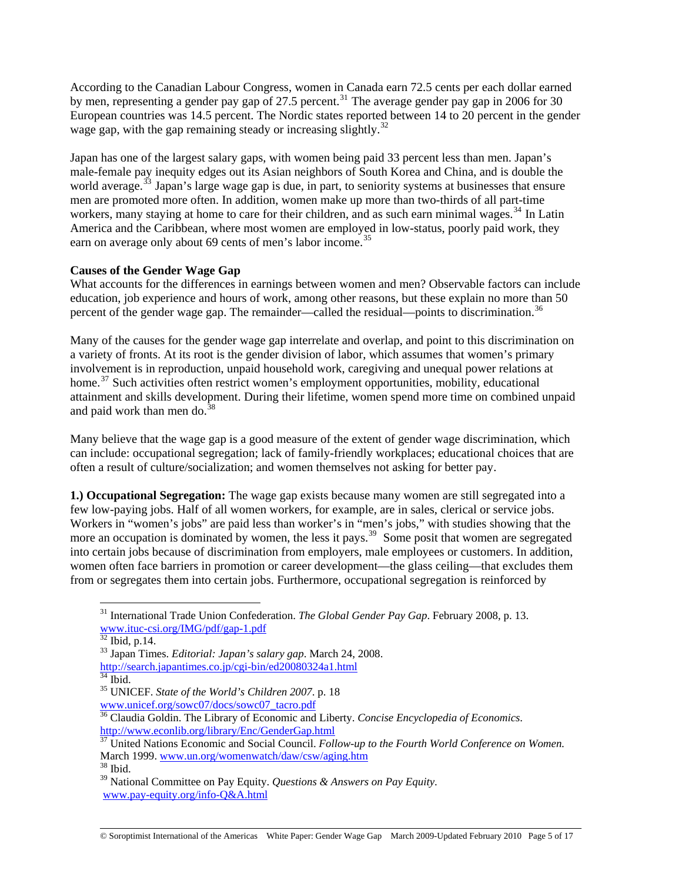According to the Canadian Labour Congress, women in Canada earn 72.5 cents per each dollar earned by men, representing a gender pay gap of 27.5 percent.<sup>[31](#page-4-0)</sup> The average gender pay gap in 2006 for 30 European countries was 14.5 percent. The Nordic states reported between 14 to 20 percent in the gender wage gap, with the gap remaining steady or increasing slightly.<sup>[32](#page-4-1)</sup>

Japan has one of the largest salary gaps, with women being paid 33 percent less than men. Japan's male-female pay inequity edges out its Asian neighbors of South Korea and China, and is double the world average.<sup>[33](#page-4-2)</sup> Japan's large wage gap is due, in part, to seniority systems at businesses that ensure men are promoted more often. In addition, women make up more than two-thirds of all part-time workers, many staying at home to care for their children, and as such earn minimal wages.<sup>[34](#page-4-3)</sup> In Latin America and the Caribbean, where most women are employed in low-status, poorly paid work, they earn on average only about 69 cents of men's labor income.<sup>[35](#page-4-4)</sup>

# **Causes of the Gender Wage Gap**

What accounts for the differences in earnings between women and men? Observable factors can include education, job experience and hours of work, among other reasons, but these explain no more than 50 percent of the gender wage gap. The remainder—called the residual—points to discrimination.<sup>36</sup>

Many of the causes for the gender wage gap interrelate and overlap, and point to this discrimination on a variety of fronts. At its root is the gender division of labor, which assumes that women's primary involvement is in reproduction, unpaid household work, caregiving and unequal power relations at home.<sup>[37](#page-4-6)</sup> Such activities often restrict women's employment opportunities, mobility, educational attainment and skills development. During their lifetime, women spend more time on combined unpaid and paid work than men do. $3$ 

Many believe that the wage gap is a good measure of the extent of gender wage discrimination, which can include: occupational segregation; lack of family-friendly workplaces; educational choices that are often a result of culture/socialization; and women themselves not asking for better pay.

**1.) Occupational Segregation:** The wage gap exists because many women are still segregated into a few low-paying jobs. Half of all women workers, for example, are in sales, clerical or service jobs. Workers in "women's jobs" are paid less than worker's in "men's jobs," with studies showing that the more an occupation is dominated by women, the less it pays.<sup>[39](#page-4-8)</sup> Some posit that women are segregated into certain jobs because of discrimination from employers, male employees or customers. In addition, women often face barriers in promotion or career development—the glass ceiling—that excludes them from or segregates them into certain jobs. Furthermore, occupational segregation is reinforced by

<span id="page-4-0"></span><sup>31</sup> International Trade Union Confederation. *The Global Gender Pay Gap*. February 2008, p. 13. [www.ituc-csi.org/IMG/pdf/gap-1.pdf](http://www.ituc-csi.org/IMG/pdf/gap-1.pdf)

<span id="page-4-1"></span> $32$  Ibid, p.14.

<span id="page-4-2"></span><sup>33</sup> Japan Times. *Editorial: Japan's salary gap*. March 24, 2008. <http://search.japantimes.co.jp/cgi-bin/ed20080324a1.html><br><sup>[34](http://search.japantimes.co.jp/cgi-bin/ed20080324a1.html)</sup> Ibid.

<span id="page-4-4"></span><span id="page-4-3"></span><sup>35</sup> UNICEF. *State of the World's Children 2007*. p. 18

[www.unicef.org/sowc07/docs/sowc07\\_tacro.pdf](http://www.unicef.org/sowc07/docs/sowc07_tacro.pdf)

<span id="page-4-5"></span><sup>36</sup> Claudia Goldin. The Library of Economic and Liberty. *Concise Encyclopedia of Economics*. <http://www.econlib.org/library/Enc/GenderGap.html>

<span id="page-4-6"></span><sup>&</sup>lt;sup>37</sup> United Nations Economic and Social Council. *Follow-up to the Fourth World Conference on Women.* March 1999. [www.un.org/womenwatch/daw/csw/aging.htm](http://www.un.org/womenwatch/daw/csw/aging.htm) <sup>38</sup> Ibid.

<span id="page-4-7"></span>

<span id="page-4-8"></span><sup>39</sup> National Committee on Pay Equity. *Questions & Answers on Pay Equity*. [www.pay-equity.org/info-Q&A.html](http://www.pay-equity.org/info-Q&A.html)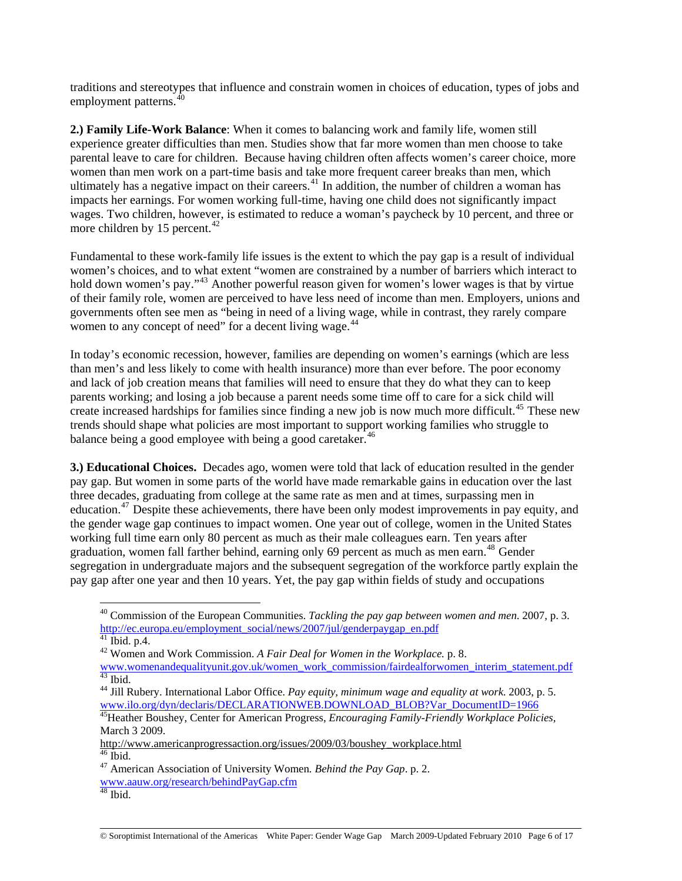traditions and stereotypes that influence and constrain women in choices of education, types of jobs and employment patterns.<sup>[40](#page-5-0)</sup>

**2.) Family Life-Work Balance**: When it comes to balancing work and family life, women still experience greater difficulties than men. Studies show that far more women than men choose to take parental leave to care for children. Because having children often affects women's career choice, more women than men work on a part-time basis and take more frequent career breaks than men, which ultimately has a negative impact on their careers.<sup>[41](#page-5-1)</sup> In addition, the number of children a woman has impacts her earnings. For women working full-time, having one child does not significantly impact wages. Two children, however, is estimated to reduce a woman's paycheck by 10 percent, and three or more children by 15 percent.<sup>[42](#page-5-2)</sup>

Fundamental to these work-family life issues is the extent to which the pay gap is a result of individual women's choices, and to what extent "women are constrained by a number of barriers which interact to hold down women's pay."<sup>[43](#page-5-3)</sup> Another powerful reason given for women's lower wages is that by virtue of their family role, women are perceived to have less need of income than men. Employers, unions and governments often see men as "being in need of a living wage, while in contrast, they rarely compare women to any concept of need" for a decent living wage.<sup>[44](#page-5-4)</sup>

In today's economic recession, however, families are depending on women's earnings (which are less than men's and less likely to come with health insurance) more than ever before. The poor economy and lack of job creation means that families will need to ensure that they do what they can to keep parents working; and losing a job because a parent needs some time off to care for a sick child will create increased hardships for families since finding a new job is now much more difficult.<sup>[45](#page-5-5)</sup> These new trends should shape what policies are most important to support working families who struggle to balance being a good employee with being a good caretaker.<sup>[46](#page-5-6)</sup>

**3.) Educational Choices.** Decades ago, women were told that lack of education resulted in the gender pay gap. But women in some parts of the world have made remarkable gains in education over the last three decades, graduating from college at the same rate as men and at times, surpassing men in education.<sup>[47](#page-5-7)</sup> Despite these achievements, there have been only modest improvements in pay equity, and the gender wage gap continues to impact women. One year out of college, women in the United States working full time earn only 80 percent as much as their male colleagues earn. Ten years after graduation, women fall farther behind, earning only 69 percent as much as men earn.<sup>[48](#page-5-8)</sup> Gender segregation in undergraduate majors and the subsequent segregation of the workforce partly explain the pay gap after one year and then 10 years. Yet, the pay gap within fields of study and occupations

<span id="page-5-0"></span><sup>40</sup> Commission of the European Communities. *Tackling the pay gap between women and men*. 2007, p. 3. [http://ec.europa.eu/employment\\_social/news/2007/jul/genderpaygap\\_en.pdf](http://ec.europa.eu/employment_social/news/2007/jul/genderpaygap_en.pdf)

 $41$  Ibid. p.4.

<span id="page-5-2"></span><span id="page-5-1"></span><sup>42</sup> Women and Work Commission. *A Fair Deal for Women in the Workplace.* p. 8. [www.womenandequalityunit.gov.uk/women\\_work\\_commission/fairdealforwomen\\_interim\\_statement.pdf](http://www.womenandequalityunit.gov.uk/women_work_commission/fairdealforwomen_interim_statement.pdf) 43 Ibid.

<span id="page-5-4"></span><span id="page-5-3"></span><sup>44</sup> Jill Rubery. International Labor Office. *Pay equity, minimum wage and equality at work*. 2003, p. 5. [www.ilo.org/dyn/declaris/DECLARATIONWEB.DOWNLOAD\\_BLOB?Var\\_DocumentID=1966](http://www.ilo.org/dyn/declaris/DECLARATIONWEB.DOWNLOAD_BLOB?Var_DocumentID=1966) 45Heather Boushey, Center for American Progress, *Encouraging Family-Friendly Workplace Policies,*

<span id="page-5-5"></span>March 3 2009.

[http://www.americanprogressaction.org/issues/2009/03/boushey\\_workplace.html](http://www.americanprogressaction.org/issues/2009/03/boushey_workplace.html) 46 Ibid.

<span id="page-5-7"></span><span id="page-5-6"></span><sup>47</sup> American Association of University Women*. Behind the Pay Gap*. p. 2. [www.aauw.org/research/behindPayGap.cfm](http://www.aauw.org/research/behindPayGap.cfm)

<span id="page-5-8"></span> $48$  Ibid.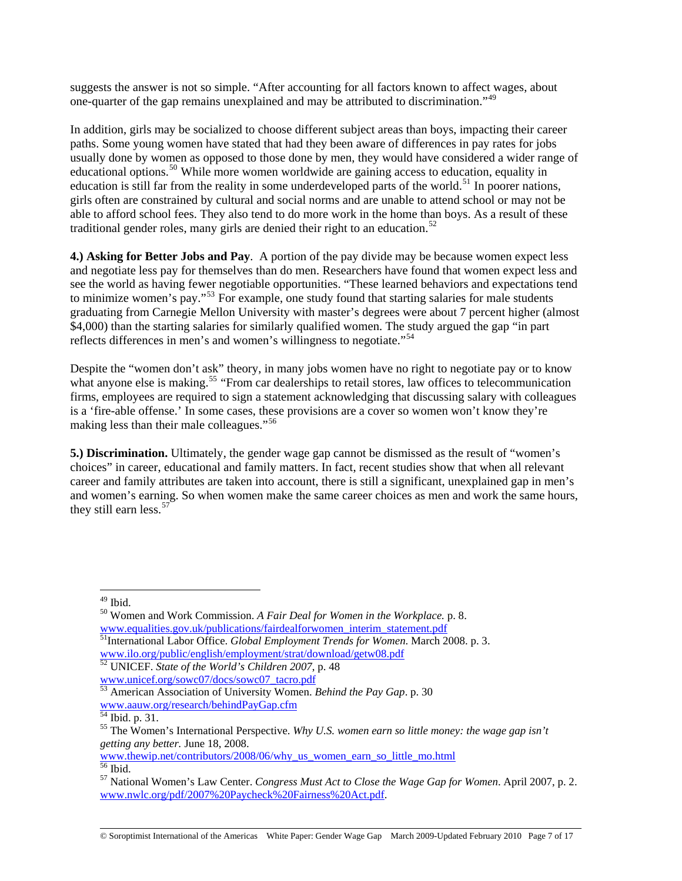suggests the answer is not so simple. "After accounting for all factors known to affect wages, about one-quarter of the gap remains unexplained and may be attributed to discrimination."<sup>[49](#page-6-0)</sup>

In addition, girls may be socialized to choose different subject areas than boys, impacting their career paths. Some young women have stated that had they been aware of differences in pay rates for jobs usually done by women as opposed to those done by men, they would have considered a wider range of educational options.<sup>[50](#page-6-1)</sup> While more women worldwide are gaining access to education, equality in education is still far from the reality in some underdeveloped parts of the world.<sup>[51](#page-6-2)</sup> In poorer nations, girls often are constrained by cultural and social norms and are unable to attend school or may not be able to afford school fees. They also tend to do more work in the home than boys. As a result of these traditional gender roles, many girls are denied their right to an education.<sup>[52](#page-6-3)</sup>

**4.) Asking for Better Jobs and Pay**. A portion of the pay divide may be because women expect less and negotiate less pay for themselves than do men. Researchers have found that women expect less and see the world as having fewer negotiable opportunities. "These learned behaviors and expectations tend to minimize women's pay."<sup>[53](#page-6-4)</sup> For example, one study found that starting salaries for male students graduating from Carnegie Mellon University with master's degrees were about 7 percent higher (almost \$4,000) than the starting salaries for similarly qualified women. The study argued the gap "in part reflects differences in men's and women's willingness to negotiate."<sup>[54](#page-6-5)</sup>

Despite the "women don't ask" theory, in many jobs women have no right to negotiate pay or to know what anyone else is making.<sup>[55](#page-6-6)</sup> "From car dealerships to retail stores, law offices to telecommunication firms, employees are required to sign a statement acknowledging that discussing salary with colleagues is a 'fire-able offense.' In some cases, these provisions are a cover so women won't know they're making less than their male colleagues."<sup>[56](#page-6-7)</sup>

**5.) Discrimination.** Ultimately, the gender wage gap cannot be dismissed as the result of "women's choices" in career, educational and family matters. In fact, recent studies show that when all relevant career and family attributes are taken into account, there is still a significant, unexplained gap in men's and women's earning. So when women make the same career choices as men and work the same hours, they still earn less.<sup>[57](#page-6-8)</sup>

 $\overline{a}$ 

[www.thewip.net/contributors/2008/06/why\\_us\\_women\\_earn\\_so\\_little\\_mo.html](http://www.thewip.net/contributors/2008/06/why_us_women_earn_so_little_mo.html) 56 Ibid.

© Soroptimist International of the Americas White Paper: Gender Wage Gap March 2009-Updated February 2010 Page 7 of 17

 $49$  Ibid.

<span id="page-6-1"></span><span id="page-6-0"></span><sup>50</sup> Women and Work Commission. *A Fair Deal for Women in the Workplace.* p. 8. [www.equalities.gov.uk/publications/fairdealforwomen\\_interim\\_statement.pdf](http://www.equalities.gov.uk/publications/fairdealforwomen_interim_statement.pdf)<br>
<sup>51</sup>International Labor Office. *Global Employment Trends for Women*. March 2008. p. 3.<br>
www.ilo.org/public/english/employment/strat/download/getw0

<span id="page-6-3"></span><span id="page-6-2"></span><sup>&</sup>lt;sup>52</sup> UNICEF. *State of the World's Children 2007*, p. 48 [www.unicef.org/sowc07/docs/sowc07\\_tacro.pdf](http://www.unicef.org/sowc07/docs/sowc07_tacro.pdf)

<span id="page-6-4"></span><sup>53</sup> American Association of University Women. *Behind the Pay Gap*. p. 30 [www.aauw.org/research/behindPayGap.cfm](http://www.aauw.org/research/behindPayGap.cfm)

<sup>&</sup>lt;sup>54</sup> Ibid. p. 31.

<span id="page-6-6"></span><span id="page-6-5"></span><sup>55</sup> The Women's International Perspective. *Why U.S. women earn so little money: the wage gap isn't getting any better.* June 18, 2008.

<span id="page-6-8"></span><span id="page-6-7"></span><sup>57</sup> National Women's Law Center. *Congress Must Act to Close the Wage Gap for Women*. April 2007, p. 2. [www.nwlc.org/pdf/2007%20Paycheck%20Fairness%20Act.pdf](http://www.nwlc.org/pdf/2007%20Paycheck%20Fairness%20Act.pdf).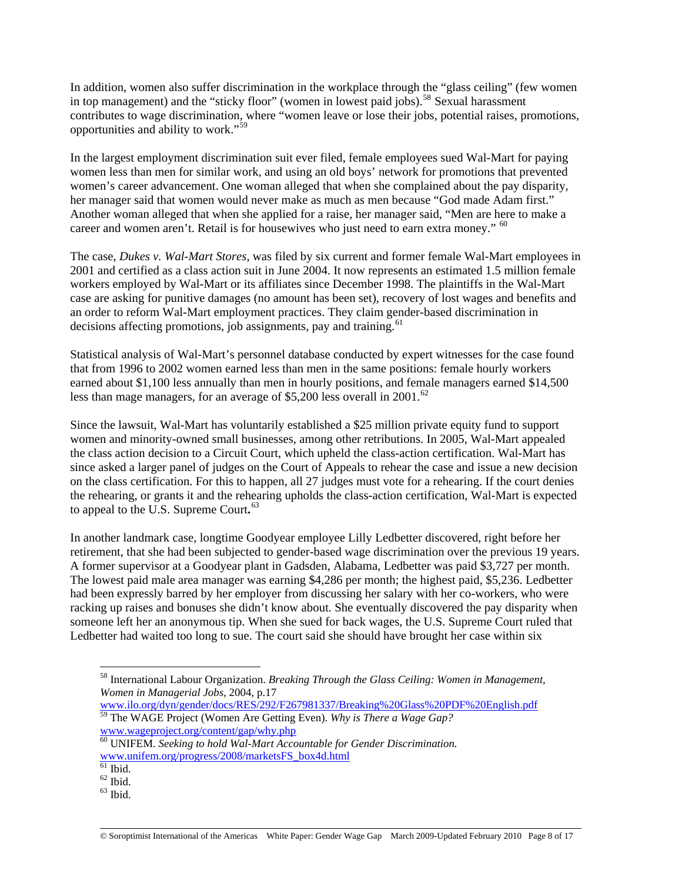In addition, women also suffer discrimination in the workplace through the "glass ceiling" (few women in top management) and the "sticky floor" (women in lowest paid jobs).<sup>[58](#page-7-0)</sup> Sexual harassment contributes to wage discrimination, where "women leave or lose their jobs, potential raises, promotions, opportunities and ability to work."[59](#page-7-1)

In the largest employment discrimination suit ever filed, female employees sued Wal-Mart for paying women less than men for similar work, and using an old boys' network for promotions that prevented women's career advancement. One woman alleged that when she complained about the pay disparity, her manager said that women would never make as much as men because "God made Adam first." Another woman alleged that when she applied for a raise, her manager said, "Men are here to make a career and women aren't. Retail is for housewives who just need to earn extra money."  $60$ 

The case, *Dukes v. Wal-Mart Stores*, was filed by six current and former female Wal-Mart employees in 2001 and certified as a class action suit in June 2004. It now represents an estimated 1.5 million female workers employed by Wal-Mart or its affiliates since December 1998. The plaintiffs in the Wal-Mart case are asking for punitive damages (no amount has been set), recovery of lost wages and benefits and an order to reform Wal-Mart employment practices. They claim gender-based discrimination in decisions affecting promotions, job assignments, pay and training.  $61$ 

Statistical analysis of Wal-Mart's personnel database conducted by expert witnesses for the case found that from 1996 to 2002 women earned less than men in the same positions: female hourly workers earned about \$1,100 less annually than men in hourly positions, and female managers earned \$14,500 less than mage managers, for an average of  $$5,200$  less overall in 2001.<sup>[62](#page-7-4)</sup>

Since the lawsuit, Wal-Mart has voluntarily established a \$25 million private equity fund to support women and minority-owned small businesses, among other retributions. In 2005, Wal-Mart appealed the class action decision to a Circuit Court, which upheld the class-action certification. Wal-Mart has since asked a larger panel of judges on the Court of Appeals to rehear the case and issue a new decision on the class certification. For this to happen, all 27 judges must vote for a rehearing. If the court denies the rehearing, or grants it and the rehearing upholds the class-action certification, Wal-Mart is expected to appeal to the U.S. Supreme Court**.** [63](#page-7-5)

In another landmark case, longtime Goodyear employee Lilly Ledbetter discovered, right before her retirement, that she had been subjected to gender-based wage discrimination over the previous 19 years. A former supervisor at a Goodyear plant in Gadsden, Alabama, Ledbetter was paid \$3,727 per month. The lowest paid male area manager was earning \$4,286 per month; the highest paid, \$5,236. Ledbetter had been expressly barred by her employer from discussing her salary with her co-workers, who were racking up raises and bonuses she didn't know about. She eventually discovered the pay disparity when someone left her an anonymous tip. When she sued for back wages, the U.S. Supreme Court ruled that Ledbetter had waited too long to sue. The court said she should have brought her case within six

<span id="page-7-0"></span><sup>58</sup> International Labour Organization. *Breaking Through the Glass Ceiling: Women in Management, Women in Managerial Jobs*, 2004, p.17

<span id="page-7-1"></span>[www.ilo.org/dyn/gender/docs/RES/292/F267981337/Breaking%20Glass%20PDF%20English.pdf](http://www.ilo.org/dyn/gender/docs/RES/292/F267981337/Breaking%20Glass%20PDF%20English.pdf) 59 The WAGE Project (Women Are Getting Even). *Why is There a Wage Gap?* 

[www.wageproject.org/content/gap/why.php](http://www.wageproject.org/content/gap/why.php)

<span id="page-7-2"></span><sup>60</sup> UNIFEM. *Seeking to hold Wal-Mart Accountable for Gender Discrimination.* [www.unifem.org/progress/2008/marketsFS\\_box4d.html](http://www.unifem.org/progress/2008/marketsFS_box4d.html)

<span id="page-7-3"></span> $61$  Ibid.

 $62$  Ibid.

<span id="page-7-5"></span><span id="page-7-4"></span> $63$  Ibid.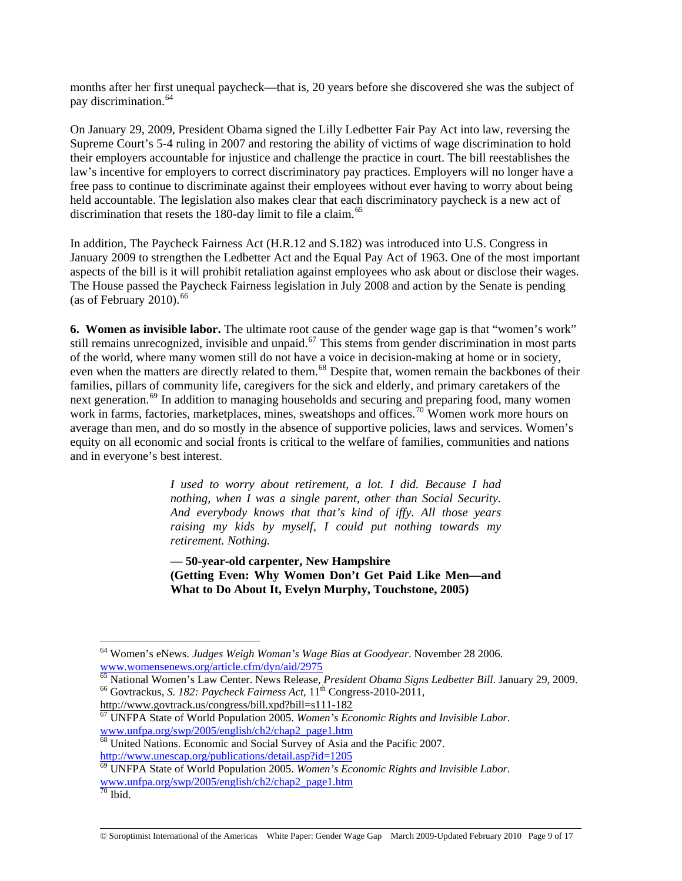months after her first unequal paycheck—that is, 20 years before she discovered she was the subject of pay discrimination.<sup>[64](#page-8-0)</sup>

On January 29, 2009, President Obama signed the Lilly Ledbetter Fair Pay Act into law, reversing the Supreme Court's 5-4 ruling in 2007 and restoring the ability of victims of wage discrimination to hold their employers accountable for injustice and challenge the practice in court. The bill reestablishes the law's incentive for employers to correct discriminatory pay practices. Employers will no longer have a free pass to continue to discriminate against their employees without ever having to worry about being held accountable. The legislation also makes clear that each discriminatory paycheck is a new act of discrimination that resets the 180-day limit to file a claim.<sup>[65](#page-8-1)</sup>

In addition, The Paycheck Fairness Act (H.R.12 and S.182) was introduced into U.S. Congress in January 2009 to strengthen the Ledbetter Act and the Equal Pay Act of 1963. One of the most important aspects of the bill is it will prohibit retaliation against employees who ask about or disclose their wages. The House passed the Paycheck Fairness legislation in July 2008 and action by the Senate is pending (as of February 2010).  $66$ 

**6. Women as invisible labor.** The ultimate root cause of the gender wage gap is that "women's work" still remains unrecognized, invisible and unpaid.<sup>[67](#page-8-3)</sup> This stems from gender discrimination in most parts of the world, where many women still do not have a voice in decision-making at home or in society, even when the matters are directly related to them.<sup>[68](#page-8-4)</sup> Despite that, women remain the backbones of their families, pillars of community life, caregivers for the sick and elderly, and primary caretakers of the next generation.<sup>[69](#page-8-5)</sup> In addition to managing households and securing and preparing food, many women work in farms, factories, marketplaces, mines, sweatshops and offices.<sup>[70](#page-8-6)</sup> Women work more hours on average than men, and do so mostly in the absence of supportive policies, laws and services. Women's equity on all economic and social fronts is critical to the welfare of families, communities and nations and in everyone's best interest.

> *I used to worry about retirement, a lot. I did. Because I had nothing, when I was a single parent, other than Social Security. And everybody knows that that's kind of iffy. All those years raising my kids by myself, I could put nothing towards my retirement. Nothing.*

> — **50-year-old carpenter, New Hampshire (Getting Even: Why Women Don't Get Paid Like Men—and What to Do About It, Evelyn Murphy, Touchstone, 2005)**

<span id="page-8-0"></span><sup>64</sup> Women's eNews. *Judges Weigh Woman's Wage Bias at Goodyear*. November 28 2006. [www.womensenews.org/article.cfm/dyn/aid/2975](http://www.womensenews.org/article.cfm/dyn/aid/2975)

<span id="page-8-1"></span><sup>&</sup>lt;sup>65</sup> National Women's Law Center. News Release, *President Obama Signs Ledbetter Bill*. January 29, 2009.<br><sup>66</sup> Govtrackus, *S. 182: Paycheck Fairness Act*, 11<sup>th</sup> Congress-2010-2011,

<span id="page-8-3"></span><span id="page-8-2"></span><http://www.govtrack.us/congress/bill.xpd?bill=s111-182><br><sup>67</sup> UNFPA State of World Population 2005. *Women's Economic Rights and Invisible Labor*. [www.unfpa.org/swp/2005/english/ch2/chap2\\_page1.htm](http://www.unfpa.org/swp/2005/english/ch2/chap2_page1.htm)

<span id="page-8-4"></span><sup>&</sup>lt;sup>68</sup> United Nations. Economic and Social Survey of Asia and the Pacific 2007. <http://www.unescap.org/publications/detail.asp?id=1205>

<span id="page-8-5"></span><sup>69</sup> UNFPA State of World Population 2005. *Women's Economic Rights and Invisible Labor.*  [www.unfpa.org/swp/2005/english/ch2/chap2\\_page1.htm](http://www.unfpa.org/swp/2005/english/ch2/chap2_page1.htm)

<span id="page-8-6"></span> $70$  Ibid.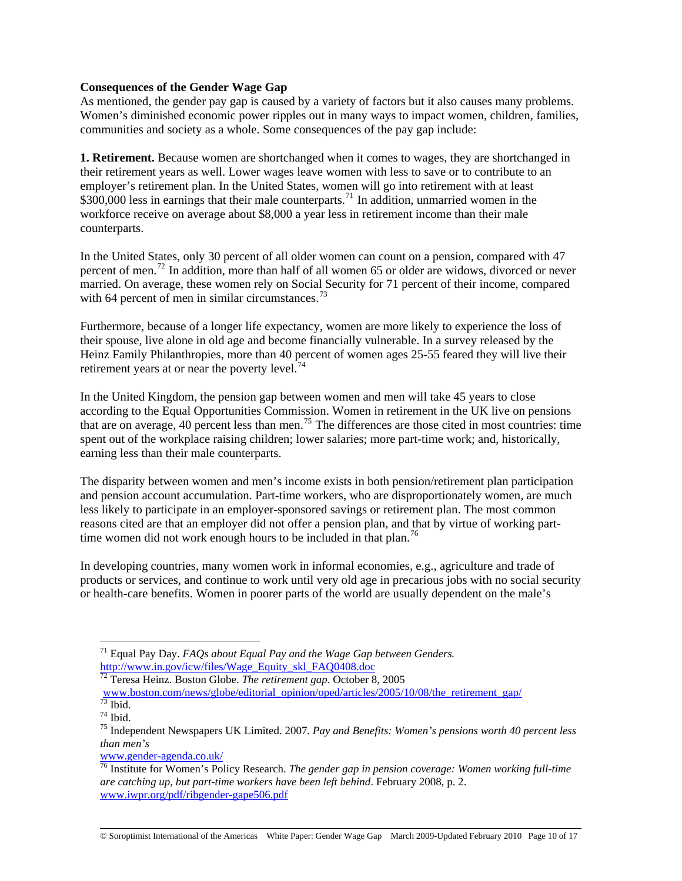## **Consequences of the Gender Wage Gap**

As mentioned, the gender pay gap is caused by a variety of factors but it also causes many problems. Women's diminished economic power ripples out in many ways to impact women, children, families, communities and society as a whole. Some consequences of the pay gap include:

**1. Retirement.** Because women are shortchanged when it comes to wages, they are shortchanged in their retirement years as well. Lower wages leave women with less to save or to contribute to an employer's retirement plan. In the United States, women will go into retirement with at least  $$300,000$  less in earnings that their male counterparts.<sup>[71](#page-9-0)</sup> In addition, unmarried women in the workforce receive on average about \$8,000 a year less in retirement income than their male counterparts.

In the United States, only 30 percent of all older women can count on a pension, compared with 47 percent of men.[72](#page-9-1) In addition, more than half of all women 65 or older are widows, divorced or never married. On average, these women rely on Social Security for 71 percent of their income, compared with 64 percent of men in similar circumstances.<sup>[73](#page-9-2)</sup>

Furthermore, because of a longer life expectancy, women are more likely to experience the loss of their spouse, live alone in old age and become financially vulnerable. In a survey released by the Heinz Family Philanthropies, more than 40 percent of women ages 25-55 feared they will live their retirement years at or near the poverty level. $74$ 

In the United Kingdom, the pension gap between women and men will take 45 years to close according to the Equal Opportunities Commission. Women in retirement in the UK live on pensions that are on average, 40 percent less than men.<sup>[75](#page-9-4)</sup> The differences are those cited in most countries: time spent out of the workplace raising children; lower salaries; more part-time work; and, historically, earning less than their male counterparts.

The disparity between women and men's income exists in both pension/retirement plan participation and pension account accumulation. Part-time workers, who are disproportionately women, are much less likely to participate in an employer-sponsored savings or retirement plan. The most common reasons cited are that an employer did not offer a pension plan, and that by virtue of working part-time women did not work enough hours to be included in that plan.<sup>[76](#page-9-5)</sup>

In developing countries, many women work in informal economies, e.g., agriculture and trade of products or services, and continue to work until very old age in precarious jobs with no social security or health-care benefits. Women in poorer parts of the world are usually dependent on the male's

 $\overline{a}$ 

[www.gender-agenda.co.uk/](http://www.gender-agenda.co.uk/)

© Soroptimist International of the Americas White Paper: Gender Wage Gap March 2009-Updated February 2010 Page 10 of 17

<span id="page-9-0"></span><sup>71</sup> Equal Pay Day. *FAQs about Equal Pay and the Wage Gap between Genders.* [http://www.in.gov/icw/files/Wage\\_Equity\\_skl\\_FAQ0408.doc](http://www.in.gov/icw/files/Wage_EQuity_skl_FAQ0408.doc)

<sup>72</sup> Teresa Heinz. Boston Globe. *The retirement gap*. October 8, 2005

<span id="page-9-1"></span>[www.boston.com/news/globe/editorial\\_opinion/oped/articles/2005/10/08/the\\_retirement\\_gap/](http://www.boston.com/news/globe/editorial_opinion/oped/articles/2005/10/08/the_retirement_gap/) 73 Ibid.

<span id="page-9-3"></span><span id="page-9-2"></span> $74$  Ibid.

<span id="page-9-4"></span><sup>75</sup> Independent Newspapers UK Limited. 2007*. Pay and Benefits: Women's pensions worth 40 percent less than men's* 

<span id="page-9-5"></span><sup>76</sup> Institute for Women's Policy Research. *The gender gap in pension coverage: Women working full-time are catching up, but part-time workers have been left behind*. February 2008, p. 2. [www.iwpr.org/pdf/ribgender-gape506.pdf](http://www.iwpr.org/pdf/ribgender-gape506.pdf)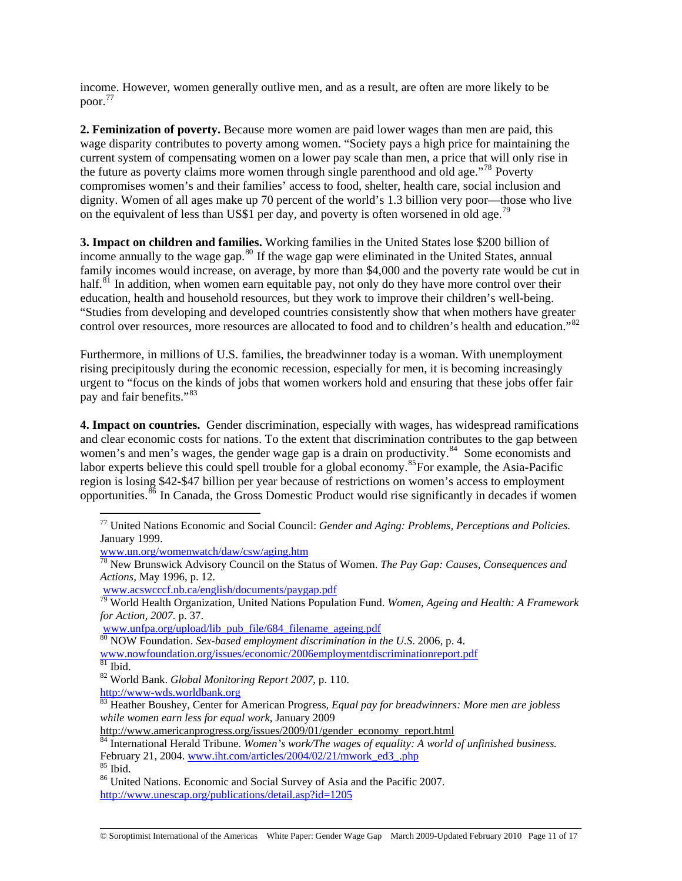income. However, women generally outlive men, and as a result, are often are more likely to be poor.[77](#page-10-0)

**2. Feminization of poverty.** Because more women are paid lower wages than men are paid, this wage disparity contributes to poverty among women. "Society pays a high price for maintaining the current system of compensating women on a lower pay scale than men, a price that will only rise in the future as poverty claims more women through single parenthood and old age."<sup>[78](#page-10-1)</sup> Poverty compromises women's and their families' access to food, shelter, health care, social inclusion and dignity. Women of all ages make up 70 percent of the world's 1.3 billion very poor—those who live on the equivalent of less than US\$1 per day, and poverty is often worsened in old age.<sup>[79](#page-10-2)</sup>

**3. Impact on children and families.** Working families in the United States lose \$200 billion of income annually to the wage gap.<sup>[80](#page-10-3)</sup> If the wage gap were eliminated in the United States, annual family incomes would increase, on average, by more than \$4,000 and the poverty rate would be cut in half.<sup>[81](#page-10-4)</sup> In addition, when women earn equitable pay, not only do they have more control over their education, health and household resources, but they work to improve their children's well-being. "Studies from developing and developed countries consistently show that when mothers have greater control over resources, more resources are allocated to food and to children's health and education."<sup>[82](#page-10-5)</sup>

Furthermore, in millions of U.S. families, the breadwinner today is a woman. With unemployment rising precipitously during the economic recession, especially for men, it is becoming increasingly urgent to "focus on the kinds of jobs that women workers hold and ensuring that these jobs offer fair pay and fair benefits."[83](#page-10-6)

**4. Impact on countries.** Gender discrimination, especially with wages, has widespread ramifications and clear economic costs for nations. To the extent that discrimination contributes to the gap between women's and men's wages, the gender wage gap is a drain on productivity.<sup>[84](#page-10-7)</sup> Some economists and labor experts believe this could spell trouble for a global economy.<sup>[85](#page-10-8)</sup>For example, the Asia-Pacific region is losing \$42-\$47 billion per year because of restrictions on women's access to employment opportunities.[86](#page-10-9) In Canada, the Gross Domestic Product would rise significantly in decades if women

<span id="page-10-0"></span><sup>77</sup> United Nations Economic and Social Council: *Gender and Aging: Problems, Perceptions and Policies.* January 1999.

[www.un.org/womenwatch/daw/csw/aging.htm](http://www.un.org/womenwatch/daw/csw/aging.htm)

<span id="page-10-1"></span><sup>78</sup> New Brunswick Advisory Council on the Status of Women. *The Pay Gap: Causes, Consequences and Actions,* May 1996, p. 12.

<span id="page-10-2"></span>www.acstr.netwick.nb.ca/english-documents-paytes-tengthents-paygap.pdf 79 World Health: A Framework <sup>79</sup> World Health Organization, United Nations Population Fund. *Women, Ageing and Health: A Framework for Action, 2007.* p. 37.

[www.unfpa.org/upload/lib\\_pub\\_file/684\\_filename\\_ageing.pdf](http://www.unfpa.org/upload/lib_pub_file/684_filename_ageing.pdf)<br><sup>80</sup> NOW Foundation. *Sex-based employment discrimination in the U.S.* 2006, p. 4.

<span id="page-10-3"></span>[www.nowfoundation.org/issues/economic/2006employmentdiscriminationreport.pdf](http://www.nowfoundation.org/issues/economic/2006employmentdiscriminationreport.pdf)

<span id="page-10-4"></span> $81$  Ibid.

<span id="page-10-5"></span><sup>82</sup> World Bank. *Global Monitoring Report 2007*, p. 110.

[http://www-wds.worldbank.org](http://www-wds.worldbank.org/)

<span id="page-10-6"></span><sup>83</sup> Heather Boushey, Center for American Progress*, Equal pay for breadwinners: More men are jobless while women earn less for equal work*, January 2009

[http://www.americanprogress.org/issues/2009/01/gender\\_economy\\_report.html](http://www.americanprogress.org/issues/2009/01/gender_economy_report.html)

<span id="page-10-7"></span><sup>84</sup> International Herald Tribune. *Women's work/The wages of equality: A world of unfinished business.* February 21, 2004. [www.iht.com/articles/2004/02/21/mwork\\_ed3\\_.php](http://www.iht.com/articles/2004/02/21/mwork_ed3_.php) <sup>85</sup> Ibid.

<span id="page-10-8"></span>

<span id="page-10-9"></span><sup>86</sup> United Nations. Economic and Social Survey of Asia and the Pacific 2007. <http://www.unescap.org/publications/detail.asp?id=1205>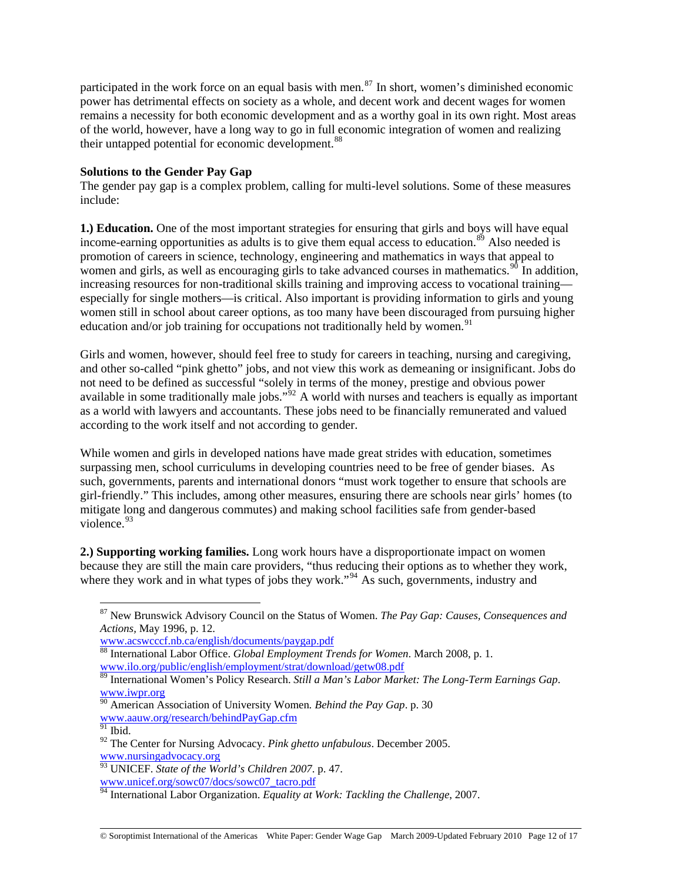participated in the work force on an equal basis with men.<sup>[87](#page-11-0)</sup> In short, women's diminished economic power has detrimental effects on society as a whole, and decent work and decent wages for women remains a necessity for both economic development and as a worthy goal in its own right. Most areas of the world, however, have a long way to go in full economic integration of women and realizing their untapped potential for economic development.<sup>[88](#page-11-1)</sup>

## **Solutions to the Gender Pay Gap**

The gender pay gap is a complex problem, calling for multi-level solutions. Some of these measures include:

**1.) Education.** One of the most important strategies for ensuring that girls and boys will have equal income-earning opportunities as adults is to give them equal access to education.<sup>[89](#page-11-2)</sup> Also needed is promotion of careers in science, technology, engineering and mathematics in ways that appeal to women and girls, as well as encouraging girls to take advanced courses in mathematics.  $90$  In addition, increasing resources for non-traditional skills training and improving access to vocational training especially for single mothers—is critical. Also important is providing information to girls and young women still in school about career options, as too many have been discouraged from pursuing higher education and/or job training for occupations not traditionally held by women.<sup>[91](#page-11-4)</sup>

Girls and women, however, should feel free to study for careers in teaching, nursing and caregiving, and other so-called "pink ghetto" jobs, and not view this work as demeaning or insignificant. Jobs do not need to be defined as successful "solely in terms of the money, prestige and obvious power available in some traditionally male jobs." $^{92}$  $^{92}$  $^{92}$  A world with nurses and teachers is equally as important as a world with lawyers and accountants. These jobs need to be financially remunerated and valued according to the work itself and not according to gender.

While women and girls in developed nations have made great strides with education, sometimes surpassing men, school curriculums in developing countries need to be free of gender biases. As such, governments, parents and international donors "must work together to ensure that schools are girl-friendly." This includes, among other measures, ensuring there are schools near girls' homes (to mitigate long and dangerous commutes) and making school facilities safe from gender-based violence.  $93$ 

**2.) Supporting working families.** Long work hours have a disproportionate impact on women because they are still the main care providers, "thus reducing their options as to whether they work, where they work and in what types of jobs they work."<sup>[94](#page-11-7)</sup> As such, governments, industry and

<span id="page-11-0"></span><sup>87</sup> New Brunswick Advisory Council on the Status of Women. *The Pay Gap: Causes, Consequences and Actions,* May 1996, p. 12.

<span id="page-11-1"></span>[www.acswcccf.nb.ca/english/documents/paygap.pdf](http://www.acswcccf.nb.ca/english/documents/paygap.pdf)<br><sup>88</sup> International Labor Office. *Global Employment Trends for Women*. March 2008, p. 1. [www.ilo.org/public/english/employment/strat/download/getw08.pdf](http://www.ilo.org/public/english/employment/strat/download/getw08.pdf)

<span id="page-11-2"></span><sup>89</sup> International Women's Policy Research. *Still a Man's Labor Market: The Long-Term Earnings Gap*. [www.iwpr.org](http://www.iwpr.org/)

<span id="page-11-3"></span><sup>&</sup>lt;sup>90</sup> American Association of University Women. Behind the Pay Gap. p. 30 [www.aauw.org/research/behindPayGap.cfm](http://www.aauw.org/research/behindPayGap.cfm)

<span id="page-11-4"></span> $91$  Ibid.

<span id="page-11-5"></span><sup>92</sup> The Center for Nursing Advocacy. *Pink ghetto unfabulous*. December 2005. [www.nursingadvocacy.org](http://www.nursingadvocacy.org/)

<span id="page-11-6"></span><sup>93</sup> UNICEF. *State of the World's Children 2007*. p. 47. [www.unicef.org/sowc07/docs/sowc07\\_tacro.pdf](http://www.unicef.org/sowc07/docs/sowc07_tacro.pdf)

<span id="page-11-7"></span><sup>94</sup> International Labor Organization. *Equality at Work: Tackling the Challenge*, 2007.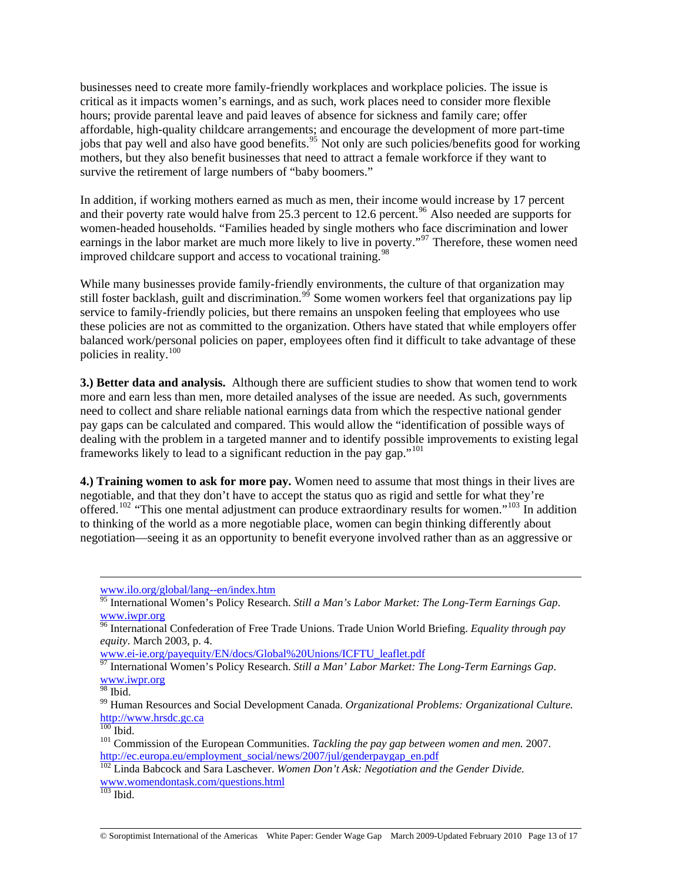businesses need to create more family-friendly workplaces and workplace policies. The issue is critical as it impacts women's earnings, and as such, work places need to consider more flexible hours; provide parental leave and paid leaves of absence for sickness and family care; offer affordable, high-quality childcare arrangements; and encourage the development of more part-time jobs that pay well and also have good benefits.<sup>[95](#page-12-0)</sup> Not only are such policies/benefits good for working mothers, but they also benefit businesses that need to attract a female workforce if they want to survive the retirement of large numbers of "baby boomers."

In addition, if working mothers earned as much as men, their income would increase by 17 percent and their poverty rate would halve from 25.3 percent to 12.6 percent.<sup>[96](#page-12-1)</sup> Also needed are supports for women-headed households. "Families headed by single mothers who face discrimination and lower earnings in the labor market are much more likely to live in poverty."<sup>[97](#page-12-2)</sup> Therefore, these women need improved childcare support and access to vocational training.<sup>[98](#page-12-3)</sup>

While many businesses provide family-friendly environments, the culture of that organization may still foster backlash, guilt and discrimination.<sup>[99](#page-12-4)</sup> Some women workers feel that organizations pay lip service to family-friendly policies, but there remains an unspoken feeling that employees who use these policies are not as committed to the organization. Others have stated that while employers offer balanced work/personal policies on paper, employees often find it difficult to take advantage of these policies in reality.[100](#page-12-5)

**3.) Better data and analysis.** Although there are sufficient studies to show that women tend to work more and earn less than men, more detailed analyses of the issue are needed. As such, governments need to collect and share reliable national earnings data from which the respective national gender pay gaps can be calculated and compared. This would allow the "identification of possible ways of dealing with the problem in a targeted manner and to identify possible improvements to existing legal frameworks likely to lead to a significant reduction in the pay gap."[101](#page-12-6)

**4.) Training women to ask for more pay.** Women need to assume that most things in their lives are negotiable, and that they don't have to accept the status quo as rigid and settle for what they're offered.<sup>[102](#page-12-7)</sup> "This one mental adjustment can produce extraordinary results for women."<sup>[103](#page-12-8)</sup> In addition to thinking of the world as a more negotiable place, women can begin thinking differently about negotiation—seeing it as an opportunity to benefit everyone involved rather than as an aggressive or

[www.ei-ie.org/payequity/EN/docs/Global%20Unions/ICFTU\\_leaflet.pdf](http://www.ei-ie.org/payequity/EN/docs/Global%20Unions/ICFTU_leaflet.pdf)

[www.ilo.org/global/lang--en/index.htm](http://www.ilo.org/global/lang--en/index.htm)

<span id="page-12-0"></span><sup>95</sup> International Women's Policy Research. *Still a Man's Labor Market: The Long-Term Earnings Gap*. [www.iwpr.org](http://www.iwpr.org/)

<span id="page-12-1"></span><sup>96</sup> International Confederation of Free Trade Unions. Trade Union World Briefing. *Equality through pay equity*. March 2003, p. 4.

<span id="page-12-2"></span><sup>97</sup> International Women's Policy Research. *Still a Man' Labor Market: The Long-Term Earnings Gap*. [www.iwpr.org](http://www.iwpr.org/)

<span id="page-12-3"></span><sup>98</sup> Ibid.

<span id="page-12-4"></span><sup>99</sup> Human Resources and Social Development Canada. *Organizational Problems: Organizational Culture.*  [http://www.hrsdc.gc.ca](http://www.hrsdc.gc.ca/)<br><sup>100</sup> Ibid.

<span id="page-12-6"></span><span id="page-12-5"></span><sup>&</sup>lt;sup>101</sup> Commission of the European Communities. *Tackling the pay gap between women and men.* 2007. [http://ec.europa.eu/employment\\_social/news/2007/jul/genderpaygap\\_en.pdf](http://ec.europa.eu/employment_social/news/2007/jul/genderpaygap_en.pdf)

<span id="page-12-7"></span><sup>102</sup> Linda Babcock and Sara Laschever. *Women Don't Ask: Negotiation and the Gender Divide.*  [www.womendontask.com/questions.html](http://www.womendontask.com/questions.html)

<span id="page-12-8"></span> $103$  Ibid.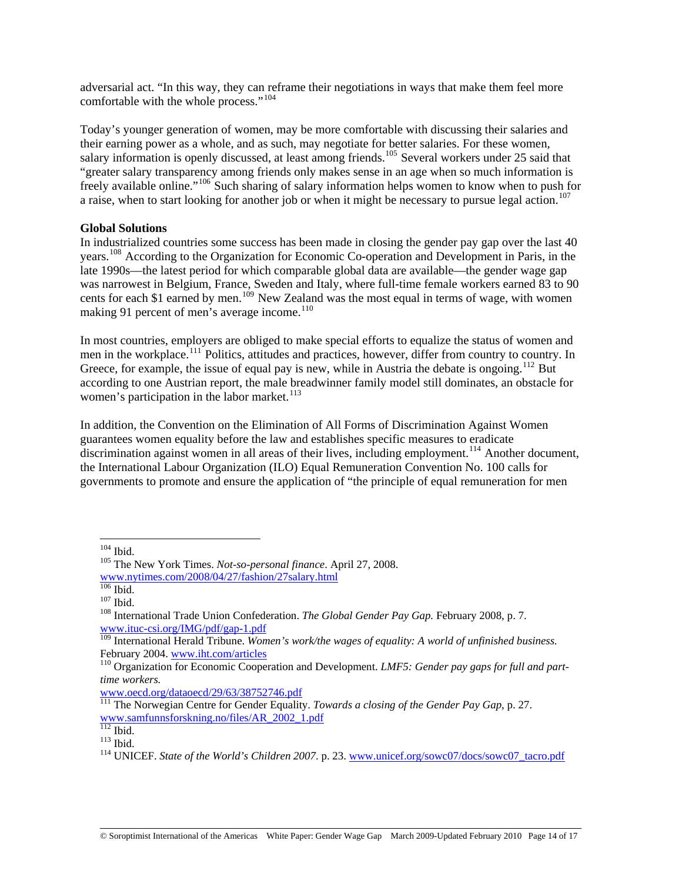adversarial act. "In this way, they can reframe their negotiations in ways that make them feel more comfortable with the whole process."[104](#page-13-0)

Today's younger generation of women, may be more comfortable with discussing their salaries and their earning power as a whole, and as such, may negotiate for better salaries. For these women, salary information is openly discussed, at least among friends.<sup>[105](#page-13-1)</sup> Several workers under 25 said that "greater salary transparency among friends only makes sense in an age when so much information is freely available online."[106](#page-13-2) Such sharing of salary information helps women to know when to push for a raise, when to start looking for another job or when it might be necessary to pursue legal action.<sup>[107](#page-13-3)</sup>

## **Global Solutions**

In industrialized countries some success has been made in closing the gender pay gap over the last 40 years.[108](#page-13-4) According to the Organization for Economic Co-operation and Development in Paris, in the late 1990s—the latest period for which comparable global data are available—the gender wage gap was narrowest in Belgium, France, Sweden and Italy, where full-time female workers earned 83 to 90 cents for each \$1 earned by men.<sup>[109](#page-13-5)</sup> New Zealand was the most equal in terms of wage, with women making 91 percent of men's average income. $110$ 

In most countries, employers are obliged to make special efforts to equalize the status of women and men in the workplace.<sup>[111](#page-13-7)</sup> Politics, attitudes and practices, however, differ from country to country. In Greece, for example, the issue of equal pay is new, while in Austria the debate is ongoing.<sup>[112](#page-13-8)</sup> But according to one Austrian report, the male breadwinner family model still dominates, an obstacle for women's participation in the labor market.<sup>[113](#page-13-9)</sup>

In addition, the Convention on the Elimination of All Forms of Discrimination Against Women guarantees women equality before the law and establishes specific measures to eradicate discrimination against women in all areas of their lives, including employment.<sup>[114](#page-13-10)</sup> Another document, the International Labour Organization (ILO) Equal Remuneration Convention No. 100 calls for governments to promote and ensure the application of "the principle of equal remuneration for men

<span id="page-13-0"></span> $^{\rm 104}$  Ibid.

<span id="page-13-1"></span><sup>&</sup>lt;sup>105</sup> The New York Times. *Not-so-personal finance*. April 27, 2008. [www.nytimes.com/2008/04/27/fashion/27salary.html](http://www.nytimes.com/2008/04/27/fashion/27salary.html)

<span id="page-13-4"></span>

<span id="page-13-3"></span><span id="page-13-2"></span><sup>107</sup> Ibid.<br><sup>107</sup> Ibid. 108 International Trade Union Confederation. *The Global Gender Pay Gap*. February 2008, p. 7. [www.ituc-csi.org/IMG/pdf/gap-1.pdf](http://www.ituc-csi.org/IMG/pdf/gap-1.pdf)

<span id="page-13-5"></span><sup>109</sup> International Herald Tribune. *Women's work/the wages of equality: A world of unfinished business.* February 2004. [www.iht.com/articles](http://www.iht.com/articles)<br><sup>110</sup> Organization for Economic Cooperation and Development. *LMF5: Gender pay gaps for full and part-*

<span id="page-13-6"></span>*time workers.* 

[www.oecd.org/dataoecd/29/63/38752746.pdf](http://www.oecd.org/dataoecd/29/63/38752746.pdf)

<span id="page-13-7"></span><sup>111</sup> The Norwegian Centre for Gender Equality. *Towards a closing of the Gender Pay Gap*, p. 27. [www.samfunnsforskning.no/files/AR\\_2002\\_1.pdf](http://www.samfunnsforskning.no/files/AR_2002_1.pdf)

<span id="page-13-8"></span>

<span id="page-13-10"></span><span id="page-13-9"></span><sup>&</sup>lt;sup>113</sup> Ibid.<br><sup>114</sup> UNICEF. *State of the World's Children 2007*. p. 23. [www.unicef.org/sowc07/docs/sowc07\\_tacro.pdf](http://www.unicef.org/sowc07/docs/sowc07_tacro.pdf)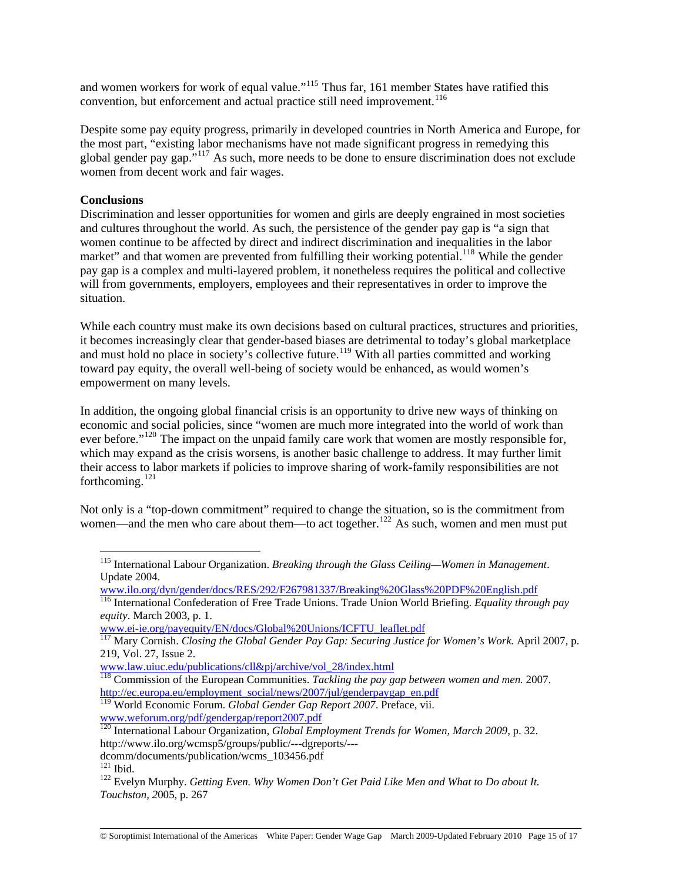and women workers for work of equal value."<sup>[115](#page-14-0)</sup> Thus far, 161 member States have ratified this convention, but enforcement and actual practice still need improvement.<sup>[116](#page-14-1)</sup>

Despite some pay equity progress, primarily in developed countries in North America and Europe, for the most part, "existing labor mechanisms have not made significant progress in remedying this global gender pay gap."[117](#page-14-2) As such, more needs to be done to ensure discrimination does not exclude women from decent work and fair wages.

## **Conclusions**

Discrimination and lesser opportunities for women and girls are deeply engrained in most societies and cultures throughout the world. As such, the persistence of the gender pay gap is "a sign that women continue to be affected by direct and indirect discrimination and inequalities in the labor market" and that women are prevented from fulfilling their working potential.<sup>[118](#page-14-3)</sup> While the gender pay gap is a complex and multi-layered problem, it nonetheless requires the political and collective will from governments, employers, employees and their representatives in order to improve the situation.

While each country must make its own decisions based on cultural practices, structures and priorities, it becomes increasingly clear that gender-based biases are detrimental to today's global marketplace and must hold no place in society's collective future.<sup>[119](#page-14-4)</sup> With all parties committed and working toward pay equity, the overall well-being of society would be enhanced, as would women's empowerment on many levels.

In addition, the ongoing global financial crisis is an opportunity to drive new ways of thinking on economic and social policies, since "women are much more integrated into the world of work than ever before."<sup>[120](#page-14-5)</sup> The impact on the unpaid family care work that women are mostly responsible for, which may expand as the crisis worsens, is another basic challenge to address. It may further limit their access to labor markets if policies to improve sharing of work-family responsibilities are not forthcoming.[121](#page-14-6)

<span id="page-14-0"></span>Not only is a "top-down commitment" required to change the situation, so is the commitment from women—and the men who care about them—to act together.<sup>[122](#page-14-7)</sup> As such, women and men must put

[www.ilo.org/dyn/gender/docs/RES/292/F267981337/Breaking%20Glass%20PDF%20English.pdf](http://www.ilo.org/dyn/gender/docs/RES/292/F267981337/Breaking%20Glass%20PDF%20English.pdf)

<span id="page-14-1"></span>116 International Confederation of Free Trade Unions. Trade Union World Briefing. *Equality through pay equity*. March 2003, p. 1.

[www.ei-ie.org/payequity/EN/docs/Global%20Unions/ICFTU\\_leaflet.pdf](http://www.ei-ie.org/payequity/EN/docs/Global%20Unions/ICFTU_leaflet.pdf)

<sup>115</sup> International Labour Organization. *Breaking through the Glass Ceiling—Women in Management*. Update 2004.

<span id="page-14-2"></span><sup>117</sup> Mary Cornish. *Closing the Global Gender Pay Gap: Securing Justice for Women's Work.* April 2007, p. 219, Vol. 27, Issue 2.

[www.law.uiuc.edu/publications/cll&pj/archive/vol\\_28/index.html](http://www.law.uiuc.edu/publications/cll&pj/archive/vol_28/index.html)

<span id="page-14-3"></span><sup>118</sup> Commission of the European Communities. *Tackling the pay gap between women and men.* 2007. [http://ec.europa.eu/employment\\_social/news/2007/jul/genderpaygap\\_en.pdf](http://ec.europa.eu/employment_social/news/2007/jul/genderpaygap_en.pdf)

<span id="page-14-4"></span><sup>119</sup> World Economic Forum. *Global Gender Gap Report 2007*. Preface, vii. [www.weforum.org/pdf/gendergap/report2007.pdf](http://www.weforum.org/pdf/gendergap/report2007.pdf)

<span id="page-14-5"></span><sup>120</sup> International Labour Organization, *Global Employment Trends for Women, March 2009*, p. 32. http://www.ilo.org/wcmsp5/groups/public/---dgreports/---

dcomm/documents/publication/wcms\_103456.pdf<br><sup>121</sup> Ibid.

<span id="page-14-6"></span>

<span id="page-14-7"></span><sup>&</sup>lt;sup>122</sup> Evelyn Murphy. *Getting Even. Why Women Don't Get Paid Like Men and What to Do about It. Touchston, 2*005, p. 267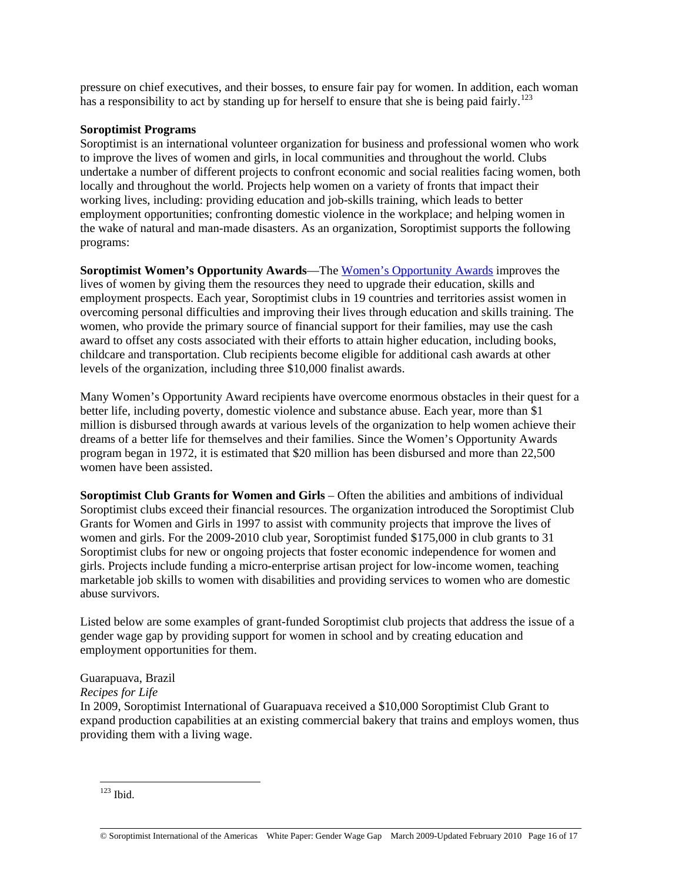pressure on chief executives, and their bosses, to ensure fair pay for women. In addition, each woman has a responsibility to act by standing up for herself to ensure that she is being paid fairly.<sup>[123](#page-15-0)</sup>

## **Soroptimist Programs**

Soroptimist is an international volunteer organization for business and professional women who work to improve the lives of women and girls, in local communities and throughout the world. Clubs undertake a number of different projects to confront economic and social realities facing women, both locally and throughout the world. Projects help women on a variety of fronts that impact their working lives, including: providing education and job-skills training, which leads to better employment opportunities; confronting domestic violence in the workplace; and helping women in the wake of natural and man-made disasters. As an organization, Soroptimist supports the following programs:

**Soroptimist Women's Opportunity Awards**—The [Women's Opportunity Awards](http://www.soroptimist.org/awards/awards.html) improves the lives of women by giving them the resources they need to upgrade their education, skills and employment prospects. Each year, Soroptimist clubs in 19 countries and territories assist women in overcoming personal difficulties and improving their lives through education and skills training. The women, who provide the primary source of financial support for their families, may use the cash award to offset any costs associated with their efforts to attain higher education, including books, childcare and transportation. Club recipients become eligible for additional cash awards at other levels of the organization, including three \$10,000 finalist awards.

Many Women's Opportunity Award recipients have overcome enormous obstacles in their quest for a better life, including poverty, domestic violence and substance abuse. Each year, more than \$1 million is disbursed through awards at various levels of the organization to help women achieve their dreams of a better life for themselves and their families. Since the Women's Opportunity Awards program began in 1972, it is estimated that \$20 million has been disbursed and more than 22,500 women have been assisted.

**Soroptimist Club Grants for Women and Girls** – Often the abilities and ambitions of individual Soroptimist clubs exceed their financial resources. The organization introduced the Soroptimist Club Grants for Women and Girls in 1997 to assist with community projects that improve the lives of women and girls. For the 2009-2010 club year, Soroptimist funded \$175,000 in club grants to 31 Soroptimist clubs for new or ongoing projects that foster economic independence for women and girls. Projects include funding a micro-enterprise artisan project for low-income women, teaching marketable job skills to women with disabilities and providing services to women who are domestic abuse survivors.

Listed below are some examples of grant-funded Soroptimist club projects that address the issue of a gender wage gap by providing support for women in school and by creating education and employment opportunities for them.

# Guarapuava, Brazil

*Recipes for Life* 

In 2009, Soroptimist International of Guarapuava received a \$10,000 Soroptimist Club Grant to expand production capabilities at an existing commercial bakery that trains and employs women, thus providing them with a living wage.

<span id="page-15-0"></span> $123$  Ibid.